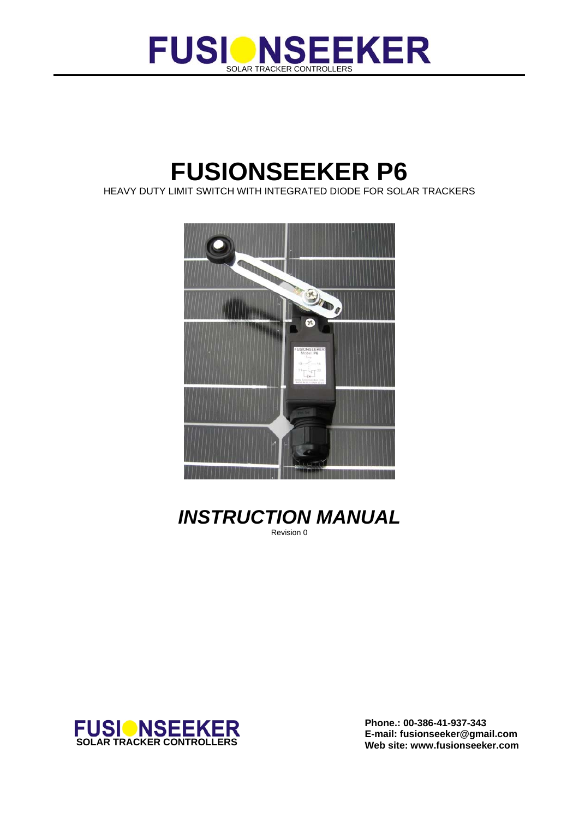

# **FUSIONSEEKER P6**

HEAVY DUTY LIMIT SWITCH WITH INTEGRATED DIODE FOR SOLAR TRACKERS



*INSTRUCTION MANUAL*  Revision 0



**Phone.: 00-386-41-937-343**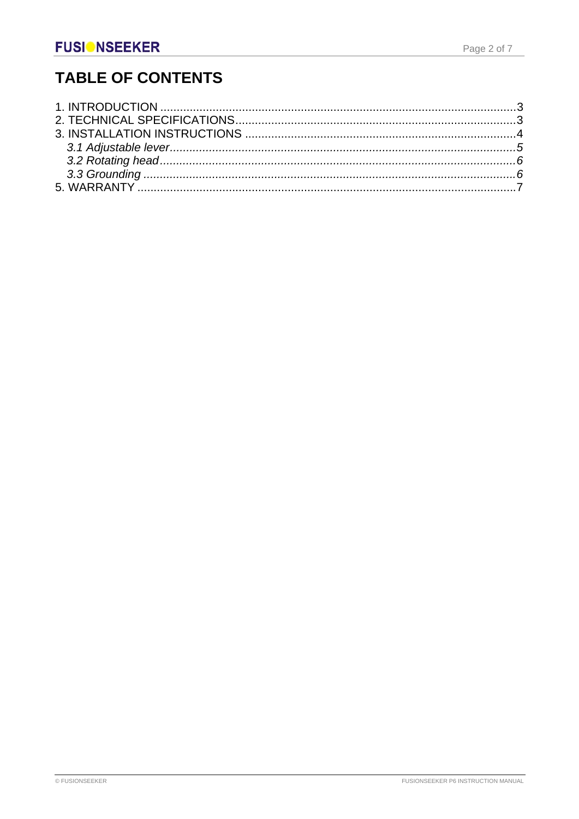## **TABLE OF CONTENTS**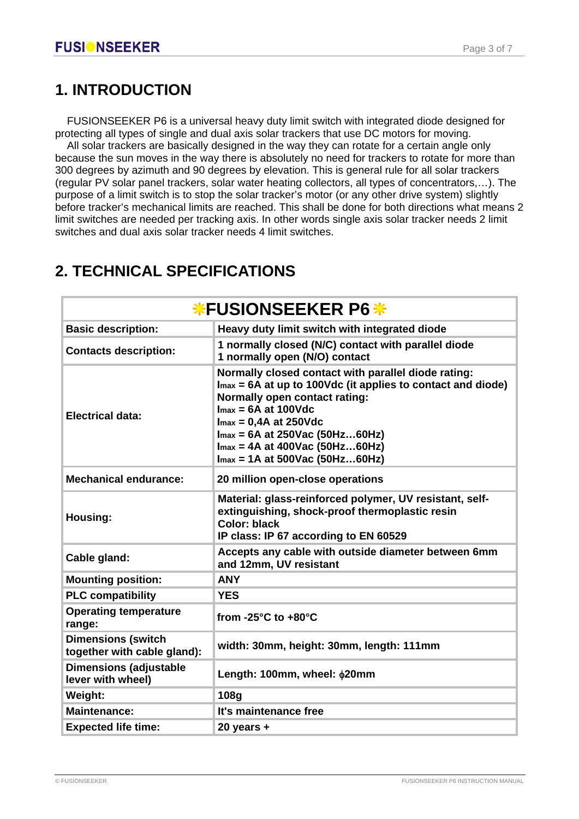## **1. INTRODUCTION**

 FUSIONSEEKER P6 is a universal heavy duty limit switch with integrated diode designed for protecting all types of single and dual axis solar trackers that use DC motors for moving.

 All solar trackers are basically designed in the way they can rotate for a certain angle only because the sun moves in the way there is absolutely no need for trackers to rotate for more than 300 degrees by azimuth and 90 degrees by elevation. This is general rule for all solar trackers (regular PV solar panel trackers, solar water heating collectors, all types of concentrators,…). The purpose of a limit switch is to stop the solar tracker's motor (or any other drive system) slightly before tracker's mechanical limits are reached. This shall be done for both directions what means 2 limit switches are needed per tracking axis. In other words single axis solar tracker needs 2 limit switches and dual axis solar tracker needs 4 limit switches.

| <b>*FUSIONSEEKER P6 *</b>                                |                                                                                                                                                                                                                                                                                                                       |  |
|----------------------------------------------------------|-----------------------------------------------------------------------------------------------------------------------------------------------------------------------------------------------------------------------------------------------------------------------------------------------------------------------|--|
| <b>Basic description:</b>                                | Heavy duty limit switch with integrated diode                                                                                                                                                                                                                                                                         |  |
| <b>Contacts description:</b>                             | 1 normally closed (N/C) contact with parallel diode<br>1 normally open (N/O) contact                                                                                                                                                                                                                                  |  |
| <b>Electrical data:</b>                                  | Normally closed contact with parallel diode rating:<br>$Imax = 6A$ at up to 100Vdc (it applies to contact and diode)<br>Normally open contact rating:<br>$Imax = 6A$ at 100Vdc<br>$Imax = 0.4A$ at 250Vdc<br>$Imax = 6A$ at 250Vac (50Hz60Hz)<br>$Imax = 4A$ at 400Vac (50Hz60Hz)<br>$Imax = 1A$ at 500Vac (50Hz60Hz) |  |
| <b>Mechanical endurance:</b>                             | 20 million open-close operations                                                                                                                                                                                                                                                                                      |  |
| <b>Housing:</b>                                          | Material: glass-reinforced polymer, UV resistant, self-<br>extinguishing, shock-proof thermoplastic resin<br><b>Color: black</b><br>IP class: IP 67 according to EN 60529                                                                                                                                             |  |
| Cable gland:                                             | Accepts any cable with outside diameter between 6mm<br>and 12mm, UV resistant                                                                                                                                                                                                                                         |  |
| <b>Mounting position:</b>                                | <b>ANY</b>                                                                                                                                                                                                                                                                                                            |  |
| <b>PLC compatibility</b>                                 | <b>YES</b>                                                                                                                                                                                                                                                                                                            |  |
| <b>Operating temperature</b><br>range:                   | from -25 $^{\circ}$ C to +80 $^{\circ}$ C                                                                                                                                                                                                                                                                             |  |
| <b>Dimensions (switch</b><br>together with cable gland): | width: 30mm, height: 30mm, length: 111mm                                                                                                                                                                                                                                                                              |  |
| <b>Dimensions (adjustable</b><br>lever with wheel)       | Length: 100mm, wheel: \$20mm                                                                                                                                                                                                                                                                                          |  |
| Weight:                                                  | 108g                                                                                                                                                                                                                                                                                                                  |  |
| <b>Maintenance:</b>                                      | It's maintenance free                                                                                                                                                                                                                                                                                                 |  |
| <b>Expected life time:</b>                               | $20$ years $+$                                                                                                                                                                                                                                                                                                        |  |

## **2. TECHNICAL SPECIFICATIONS**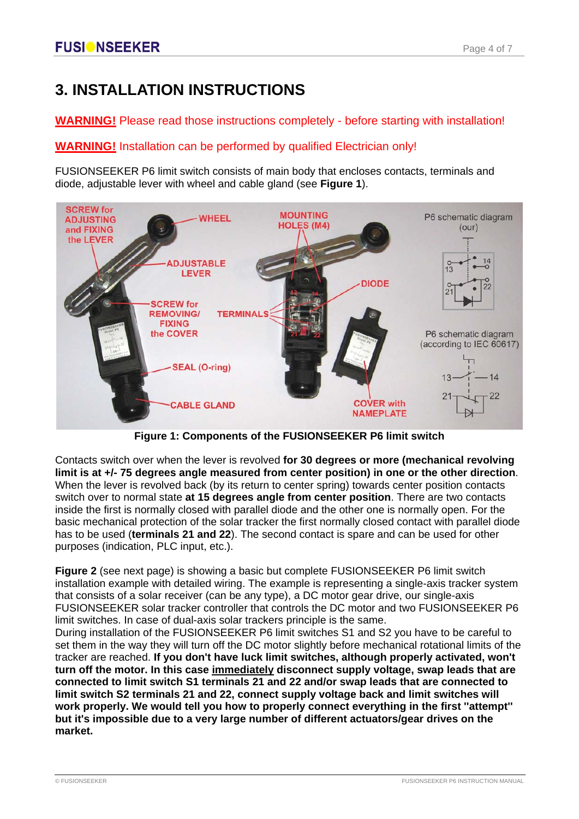## **3. INSTALLATION INSTRUCTIONS**

### **WARNING!** Please read those instructions completely - before starting with installation!

**WARNING!** Installation can be performed by qualified Electrician only!

FUSIONSEEKER P6 limit switch consists of main body that encloses contacts, terminals and diode, adjustable lever with wheel and cable gland (see **Figure 1**).



**Figure 1: Components of the FUSIONSEEKER P6 limit switch**

Contacts switch over when the lever is revolved **for 30 degrees or more (mechanical revolving limit is at +/- 75 degrees angle measured from center position) in one or the other direction**. When the lever is revolved back (by its return to center spring) towards center position contacts switch over to normal state **at 15 degrees angle from center position**. There are two contacts inside the first is normally closed with parallel diode and the other one is normally open. For the basic mechanical protection of the solar tracker the first normally closed contact with parallel diode has to be used (**terminals 21 and 22**). The second contact is spare and can be used for other purposes (indication, PLC input, etc.).

**Figure 2** (see next page) is showing a basic but complete FUSIONSEEKER P6 limit switch installation example with detailed wiring. The example is representing a single-axis tracker system that consists of a solar receiver (can be any type), a DC motor gear drive, our single-axis FUSIONSEEKER solar tracker controller that controls the DC motor and two FUSIONSEEKER P6 limit switches. In case of dual-axis solar trackers principle is the same.

During installation of the FUSIONSEEKER P6 limit switches S1 and S2 you have to be careful to set them in the way they will turn off the DC motor slightly before mechanical rotational limits of the tracker are reached. **If you don't have luck limit switches, although properly activated, won't turn off the motor. In this case immediately disconnect supply voltage, swap leads that are connected to limit switch S1 terminals 21 and 22 and/or swap leads that are connected to limit switch S2 terminals 21 and 22, connect supply voltage back and limit switches will work properly. We would tell you how to properly connect everything in the first ''attempt'' but it's impossible due to a very large number of different actuators/gear drives on the market.**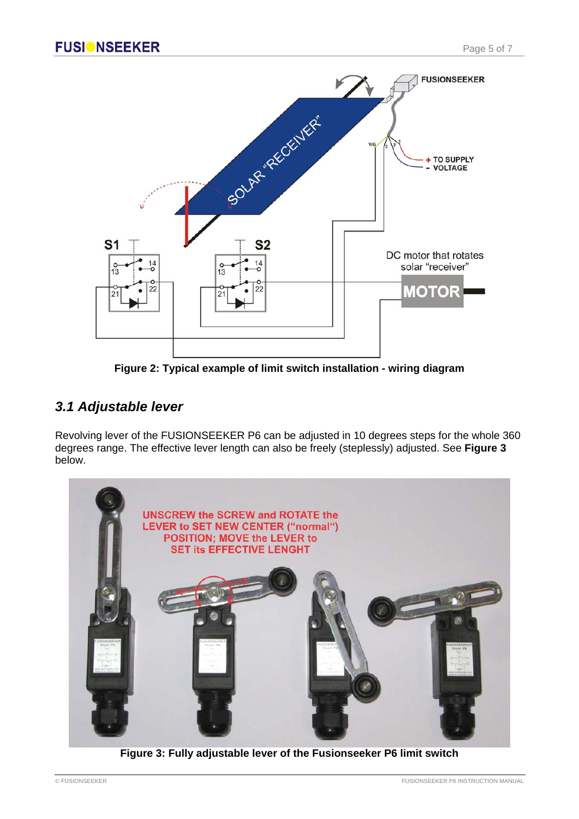

**Figure 2: Typical example of limit switch installation - wiring diagram**

### *3.1 Adjustable lever*

Revolving lever of the FUSIONSEEKER P6 can be adjusted in 10 degrees steps for the whole 360 degrees range. The effective lever length can also be freely (steplessly) adjusted. See **Figure 3** below.



**Figure 3: Fully adjustable lever of the Fusionseeker P6 limit switch**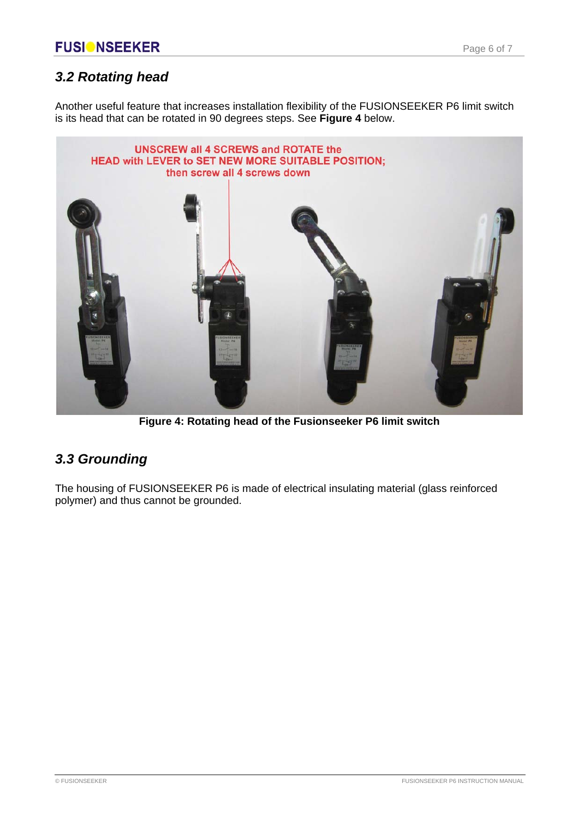### *3.2 Rotating head*

Another useful feature that increases installation flexibility of the FUSIONSEEKER P6 limit switch is its head that can be rotated in 90 degrees steps. See **Figure 4** below.



**Figure 4: Rotating head of the Fusionseeker P6 limit switch**

### *3.3 Grounding*

The housing of FUSIONSEEKER P6 is made of electrical insulating material (glass reinforced polymer) and thus cannot be grounded.